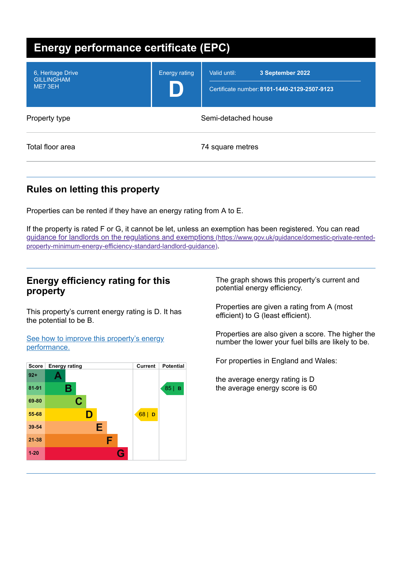| <b>Energy performance certificate (EPC)</b>       |                      |                                                                                  |  |
|---------------------------------------------------|----------------------|----------------------------------------------------------------------------------|--|
| 6, Heritage Drive<br><b>GILLINGHAM</b><br>ME7 3EH | <b>Energy rating</b> | Valid until:<br>3 September 2022<br>Certificate number: 8101-1440-2129-2507-9123 |  |
| Property type                                     | Semi-detached house  |                                                                                  |  |
| Total floor area                                  |                      | 74 square metres                                                                 |  |

# **Rules on letting this property**

Properties can be rented if they have an energy rating from A to E.

If the property is rated F or G, it cannot be let, unless an exemption has been registered. You can read guidance for landlords on the regulations and exemptions (https://www.gov.uk/guidance/domestic-private-rented[property-minimum-energy-efficiency-standard-landlord-guidance\)](https://www.gov.uk/guidance/domestic-private-rented-property-minimum-energy-efficiency-standard-landlord-guidance).

## **Energy efficiency rating for this property**

This property's current energy rating is D. It has the potential to be B.

See how to improve this property's energy [performance.](#page-2-0)



The graph shows this property's current and potential energy efficiency.

Properties are given a rating from A (most efficient) to G (least efficient).

Properties are also given a score. The higher the number the lower your fuel bills are likely to be.

For properties in England and Wales:

the average energy rating is D the average energy score is 60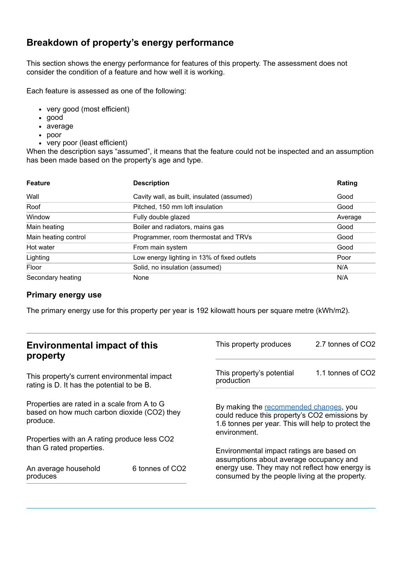# **Breakdown of property's energy performance**

This section shows the energy performance for features of this property. The assessment does not consider the condition of a feature and how well it is working.

Each feature is assessed as one of the following:

- very good (most efficient)
- good
- average
- poor
- very poor (least efficient)

When the description says "assumed", it means that the feature could not be inspected and an assumption has been made based on the property's age and type.

| <b>Feature</b>       | <b>Description</b>                          | Rating  |
|----------------------|---------------------------------------------|---------|
| Wall                 | Cavity wall, as built, insulated (assumed)  | Good    |
| Roof                 | Pitched, 150 mm loft insulation             | Good    |
| Window               | Fully double glazed                         | Average |
| Main heating         | Boiler and radiators, mains gas             | Good    |
| Main heating control | Programmer, room thermostat and TRVs        | Good    |
| Hot water            | From main system                            | Good    |
| Lighting             | Low energy lighting in 13% of fixed outlets | Poor    |
| Floor                | Solid, no insulation (assumed)              | N/A     |
| Secondary heating    | None                                        | N/A     |

### **Primary energy use**

The primary energy use for this property per year is 192 kilowatt hours per square metre (kWh/m2).

| <b>Environmental impact of this</b><br>property                                                        |                 | This property produces                                                                                                                                                                   | 2.7 tonnes of CO2 |
|--------------------------------------------------------------------------------------------------------|-----------------|------------------------------------------------------------------------------------------------------------------------------------------------------------------------------------------|-------------------|
| This property's current environmental impact<br>rating is D. It has the potential to be B.             |                 | This property's potential<br>production                                                                                                                                                  | 1.1 tonnes of CO2 |
| Properties are rated in a scale from A to G<br>based on how much carbon dioxide (CO2) they<br>produce. |                 | By making the recommended changes, you<br>could reduce this property's CO2 emissions by<br>1.6 tonnes per year. This will help to protect the<br>environment.                            |                   |
| Properties with an A rating produce less CO2                                                           |                 |                                                                                                                                                                                          |                   |
| than G rated properties.<br>An average household<br>produces                                           | 6 tonnes of CO2 | Environmental impact ratings are based on<br>assumptions about average occupancy and<br>energy use. They may not reflect how energy is<br>consumed by the people living at the property. |                   |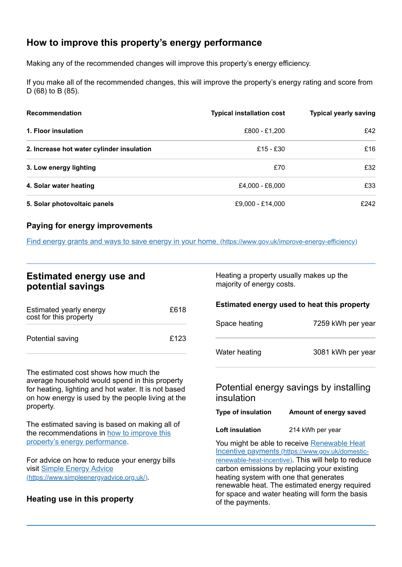# <span id="page-2-0"></span>**How to improve this property's energy performance**

Making any of the recommended changes will improve this property's energy efficiency.

If you make all of the recommended changes, this will improve the property's energy rating and score from D (68) to B (85).

| <b>Recommendation</b>                     | <b>Typical installation cost</b> | <b>Typical yearly saving</b> |
|-------------------------------------------|----------------------------------|------------------------------|
| 1. Floor insulation                       | £800 - £1,200                    | £42                          |
| 2. Increase hot water cylinder insulation | £15 - £30                        | £16                          |
| 3. Low energy lighting                    | £70                              | £32                          |
| 4. Solar water heating                    | £4,000 - £6,000                  | £33                          |
| 5. Solar photovoltaic panels              | £9,000 - £14,000                 | £242                         |

### **Paying for energy improvements**

Find energy grants and ways to save energy in your home. [\(https://www.gov.uk/improve-energy-efficiency\)](https://www.gov.uk/improve-energy-efficiency)

| <b>Estimated energy use and</b> |  |  |
|---------------------------------|--|--|
| potential savings               |  |  |

| Estimated yearly energy<br>cost for this property | £618 |
|---------------------------------------------------|------|
| Potential saving                                  | £123 |

The estimated cost shows how much the average household would spend in this property for heating, lighting and hot water. It is not based on how energy is used by the people living at the property.

The estimated saving is based on making all of the [recommendations](#page-2-0) in how to improve this property's energy performance.

For advice on how to reduce your energy bills visit Simple Energy Advice [\(https://www.simpleenergyadvice.org.uk/\)](https://www.simpleenergyadvice.org.uk/).

## **Heating use in this property**

Heating a property usually makes up the majority of energy costs.

#### **Estimated energy used to heat this property**

| Space heating | 7259 kWh per year |
|---------------|-------------------|
| Water heating | 3081 kWh per year |

## Potential energy savings by installing insulation

| <b>Type of insulation</b> | Amount of energy saved |
|---------------------------|------------------------|
|---------------------------|------------------------|

**Loft insulation** 214 kWh per year

You might be able to receive Renewable Heat Incentive payments [\(https://www.gov.uk/domestic](https://www.gov.uk/domestic-renewable-heat-incentive)renewable-heat-incentive). This will help to reduce carbon emissions by replacing your existing heating system with one that generates renewable heat. The estimated energy required for space and water heating will form the basis of the payments.